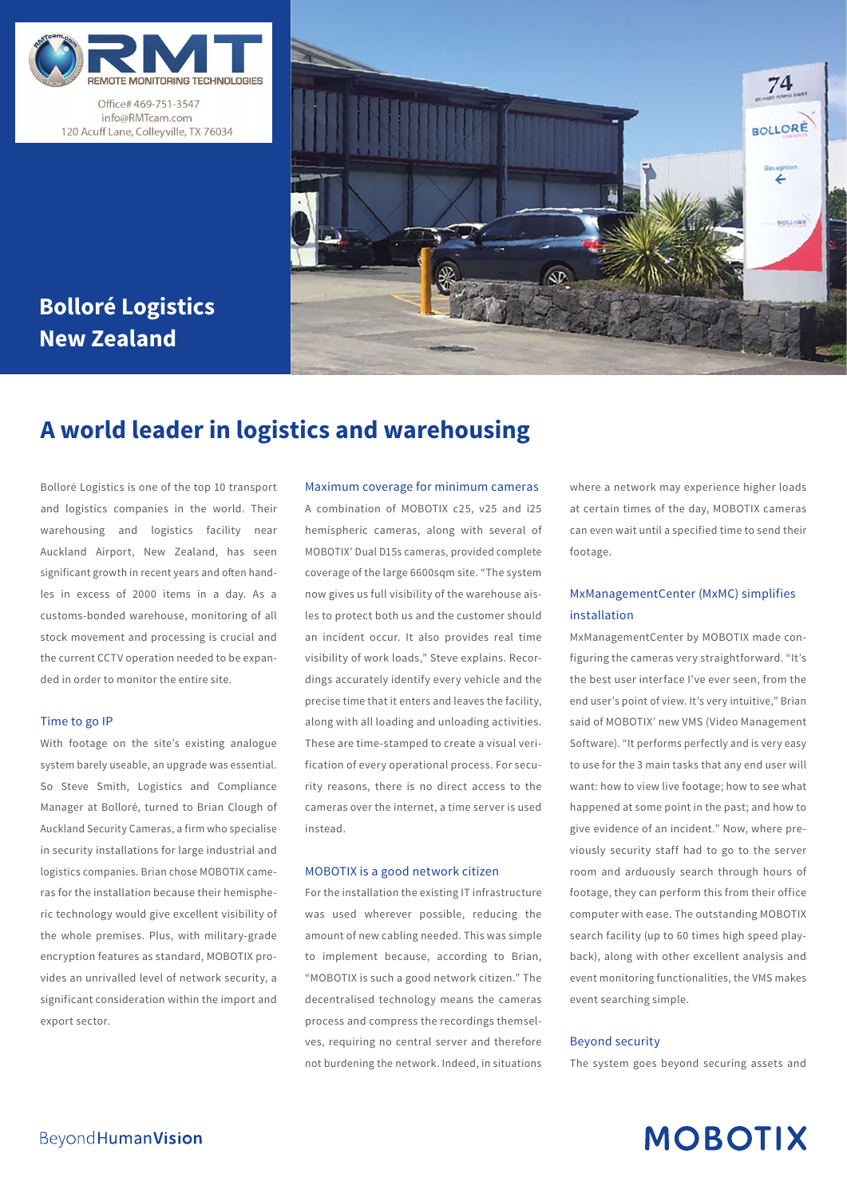

Office# 469-751-3547 info@RMTcam.com 120 Acuff Lane, Colleyville, TX 76034

# **Bolloré Logistics New Zealand**



# **A world leader in logistics and warehousing**

Bolloré Logistics is one of the top 10 transport and logistics companies in the world. Their warehousing and logistics facility near Auckland Airport, New Zealand, has seen significant growth in recent years and often handles in excess of 2000 items in a day. As a customs-bonded warehouse, monitoring of all stock movement and processing is crucial and the current CCTV operation needed to be expanded in order to monitor the entire site.

### Time to go IP

With footage on the site's existing analogue system barely useable, an upgrade was essential. So Steve Smith, Logistics and Compliance Manager at Bolloré, turned to Brian Clough of Auckland Security Cameras, a firm who specialise in security installations for large industrial and logistics companies. Brian chose MOBOTIX cameras for the installation because their hemispheric technology would give excellent visibility of the whole premises. Plus, with military-grade encryption features as standard, MOBOTIX provides an unrivalled level of network security, a significant consideration within the import and export sector.

#### Maximum coverage for minimum cameras

A combination of MOBOTIX c25, v25 and i25 hemispheric cameras, along with several of MOBOTIX' Dual D15s cameras, provided complete coverage of the large 6600sqm site. "The system now gives us full visibility of the warehouse aisles to protect both us and the customer should an incident occur. It also provides real time visibility of work loads," Steve explains. Recordings accurately identify every vehicle and the precise time that it enters and leaves the facility, along with all loading and unloading activities. These are time-stamped to create a visual verification of every operational process. For security reasons, there is no direct access to the cameras over the internet, a time server is used instead.

### MOBOTIX is a good network citizen

For the installation the existing IT infrastructure was used wherever possible, reducing the amount of new cabling needed. This was simple to implement because, according to Brian, "MOBOTIX is such a good network citizen." The decentralised technology means the cameras process and compress the recordings themselves, requiring no central server and therefore not burdening the network. Indeed, in situations where a network may experience higher loads at certain times of the day, MOBOTIX cameras can even wait until a specified time to send their footage.

## MxManagementCenter (MxMC) simplifies installation

MxManagementCenter by MOBOTIX made configuring the cameras very straightforward. "It's the best user interface I've ever seen, from the end user's point of view. It's very intuitive," Brian said of MOBOTIX' new VMS (Video Management Software). "It performs perfectly and is very easy to use for the 3 main tasks that any end user will want: how to view live footage; how to see what happened at some point in the past; and how to give evidence of an incident." Now, where previously security staff had to go to the server room and arduously search through hours of footage, they can perform this from their office computer with ease. The outstanding MOBOTIX search facility (up to 60 times high speed playback), along with other excellent analysis and event monitoring functionalities, the VMS makes event searching simple.

### Beyond security

The system goes beyond securing assets and

# **MOBOTIX**